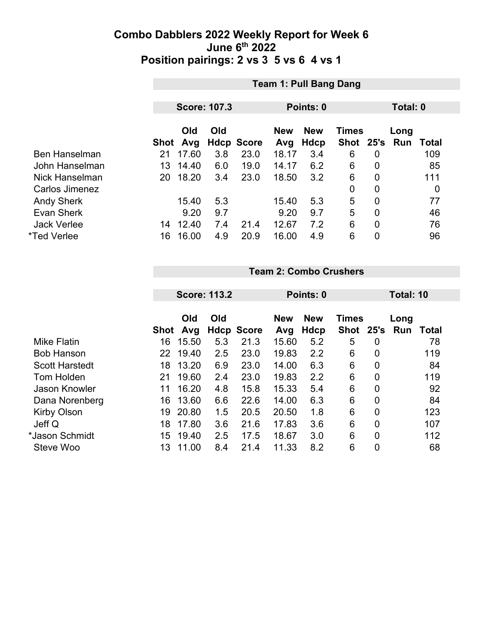|                      | <b>Team 1: Pull Bang Dang</b> |       |     |                   |            |            |              |                |            |                  |
|----------------------|-------------------------------|-------|-----|-------------------|------------|------------|--------------|----------------|------------|------------------|
|                      |                               |       |     |                   |            |            |              |                |            |                  |
|                      | <b>Score: 107.3</b>           |       |     |                   |            | Points: 0  |              | Total: 0       |            |                  |
|                      |                               | Old   | Old |                   | <b>New</b> | <b>New</b> | <b>Times</b> |                | Long       |                  |
|                      | Shot                          | Avg   |     | <b>Hdcp Score</b> | Avg        | Hdcp       | Shot 25's    |                | <b>Run</b> | Total            |
| <b>Ben Hanselman</b> | 21                            | 17.60 | 3.8 | 23.0              | 18.17      | 3.4        | 6            | $\overline{0}$ |            | 109              |
| John Hanselman       | 13                            | 14.40 | 6.0 | 19.0              | 14.17      | 6.2        | 6            | $\overline{0}$ |            | 85               |
| Nick Hanselman       | 20                            | 18.20 | 3.4 | 23.0              | 18.50      | 3.2        | 6            | $\overline{0}$ |            | 111              |
| Carlos Jimenez       |                               |       |     |                   |            |            | 0            | $\overline{0}$ |            | $\boldsymbol{0}$ |
| <b>Andy Sherk</b>    |                               | 15.40 | 5.3 |                   | 15.40      | 5.3        | 5            | $\overline{0}$ |            | 77               |
| Evan Sherk           |                               | 9.20  | 9.7 |                   | 9.20       | 9.7        | 5            | $\mathbf{0}$   |            | 46               |
| <b>Jack Verlee</b>   | 14                            | 12.40 | 7.4 | 21.4              | 12.67      | 7.2        | 6            | $\overline{0}$ |            | 76               |
| *Ted Verlee          | 16                            | 16.00 | 4.9 | 20.9              | 16.00      | 4.9        | 6            | 0              |            | 96               |

#### **Team 2: Combo Crushers**

|                       | <b>Score: 113.2</b> |            |     | Points: 0         |                   |                    |                    | Total: 10      |                    |       |
|-----------------------|---------------------|------------|-----|-------------------|-------------------|--------------------|--------------------|----------------|--------------------|-------|
|                       | Shot                | Old<br>Avg | Old | <b>Hdcp Score</b> | <b>New</b><br>Avg | <b>New</b><br>Hdcp | Times<br>Shot 25's |                | Long<br><b>Run</b> | Total |
| <b>Mike Flatin</b>    | 16                  | 15.50      | 5.3 | 21.3              | 15.60             | 5.2                | 5                  | 0              |                    | 78    |
| <b>Bob Hanson</b>     | 22                  | 19.40      | 2.5 | 23.0              | 19.83             | 2.2                | 6                  | $\overline{0}$ |                    | 119   |
| <b>Scott Harstedt</b> | 18                  | 13.20      | 6.9 | 23.0              | 14.00             | 6.3                | 6                  | $\overline{0}$ |                    | 84    |
| <b>Tom Holden</b>     | 21                  | 19.60      | 2.4 | 23.0              | 19.83             | 2.2                | 6                  | 0              |                    | 119   |
| <b>Jason Knowler</b>  | 11                  | 16.20      | 4.8 | 15.8              | 15.33             | 5.4                | 6                  | $\overline{0}$ |                    | 92    |
| Dana Norenberg        | 16                  | 13.60      | 6.6 | 22.6              | 14.00             | 6.3                | 6                  | $\overline{0}$ |                    | 84    |
| Kirby Olson           | 19                  | 20.80      | 1.5 | 20.5              | 20.50             | 1.8                | 6                  | $\overline{0}$ |                    | 123   |
| Jeff Q                | 18                  | 17.80      | 3.6 | 21.6              | 17.83             | 3.6                | 6                  | $\overline{0}$ |                    | 107   |
| *Jason Schmidt        | 15                  | 19.40      | 2.5 | 17.5              | 18.67             | 3.0                | 6                  | $\overline{0}$ |                    | 112   |
| Steve Woo             | 13                  | 11.00      | 8.4 | 21.4              | 11.33             | 8.2                | 6                  | $\overline{0}$ |                    | 68    |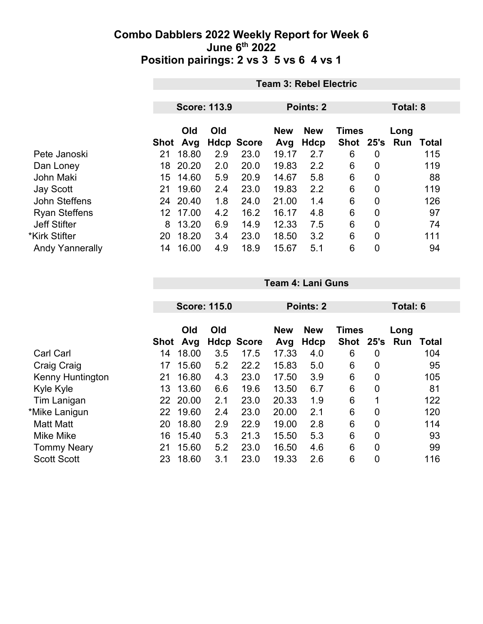| <b>Team 3: Rebel Electric</b> |       |                  |            |                            |      |   |                |           |              |
|-------------------------------|-------|------------------|------------|----------------------------|------|---|----------------|-----------|--------------|
|                               |       |                  |            |                            |      |   |                |           |              |
| <b>Score: 113.9</b>           |       |                  |            | Points: 2                  |      |   |                | Total: 8  |              |
| Old<br>Old                    |       |                  | <b>New</b> | <b>New</b><br><b>Times</b> |      |   | Long           |           |              |
|                               | Avg   |                  |            | Avg                        | Hdcp |   |                | Run       | <b>Total</b> |
| 21                            | 18.80 | 2.9              | 23.0       | 19.17                      | 2.7  | 6 | $\overline{0}$ |           | 115          |
| 18                            | 20.20 | 2.0              | 20.0       | 19.83                      | 2.2  | 6 | $\overline{0}$ |           | 119          |
| 15                            | 14.60 | 5.9              | 20.9       | 14.67                      | 5.8  | 6 | 0              |           | 88           |
| 21                            | 19.60 | 2.4              | 23.0       | 19.83                      | 2.2  | 6 | $\overline{0}$ |           | 119          |
|                               |       | 1.8              | 24.0       | 21.00                      | 1.4  | 6 | 0              |           | 126          |
| 12.                           | 17.00 | 4.2              | 16.2       | 16.17                      | 4.8  | 6 | $\overline{0}$ |           | 97           |
| 8                             | 13.20 | 6.9              | 14.9       | 12.33                      | 7.5  | 6 | 0              |           | 74           |
| 20                            | 18.20 | 3.4              | 23.0       | 18.50                      | 3.2  | 6 | $\overline{0}$ |           | 111          |
| 14                            | 16.00 | 4.9              | 18.9       | 15.67                      | 5.1  | 6 | $\overline{0}$ |           | 94           |
|                               |       | Shot<br>24 20.40 |            | <b>Hdcp Score</b>          |      |   |                | Shot 25's |              |

|                         |      | <b>Score: 115.0</b> |     |                   | Points: 2         |                           |                      |                | <b>Total: 6</b>  |       |
|-------------------------|------|---------------------|-----|-------------------|-------------------|---------------------------|----------------------|----------------|------------------|-------|
|                         | Shot | Old<br>Avg          | Old | <b>Hdcp Score</b> | <b>New</b><br>Avg | <b>New</b><br><b>Hdcp</b> | <b>Times</b><br>Shot |                | Long<br>25's Run | Total |
| <b>Carl Carl</b>        | 14   | 18.00               | 3.5 | 17.5              | 17.33             | 4.0                       | 6                    | 0              |                  | 104   |
| Craig Craig             | 17   | 15.60               | 5.2 | 22.2              | 15.83             | 5.0                       | 6                    | $\mathbf 0$    |                  | 95    |
| <b>Kenny Huntington</b> | 21   | 16.80               | 4.3 | 23.0              | 17.50             | 3.9                       | 6                    | $\overline{0}$ |                  | 105   |
| Kyle Kyle               | 13   | 13.60               | 6.6 | 19.6              | 13.50             | 6.7                       | 6                    | $\mathbf 0$    |                  | 81    |
| Tim Lanigan             | 22   | 20.00               | 2.1 | 23.0              | 20.33             | 1.9                       | 6                    | 1              |                  | 122   |
| *Mike Lanigun           | 22   | 19.60               | 2.4 | 23.0              | 20.00             | 2.1                       | 6                    | $\mathbf 0$    |                  | 120   |
| <b>Matt Matt</b>        | 20   | 18.80               | 2.9 | 22.9              | 19.00             | 2.8                       | 6                    | $\mathbf 0$    |                  | 114   |
| <b>Mike Mike</b>        | 16   | 15.40               | 5.3 | 21.3              | 15.50             | 5.3                       | 6                    | $\overline{0}$ |                  | 93    |
| <b>Tommy Neary</b>      | 21   | 15.60               | 5.2 | 23.0              | 16.50             | 4.6                       | 6                    | $\mathbf 0$    |                  | 99    |
| <b>Scott Scott</b>      | 23   | 18.60               | 3.1 | 23.0              | 19.33             | 2.6                       | 6                    | $\overline{0}$ |                  | 116   |

**Team 4: Lani Guns**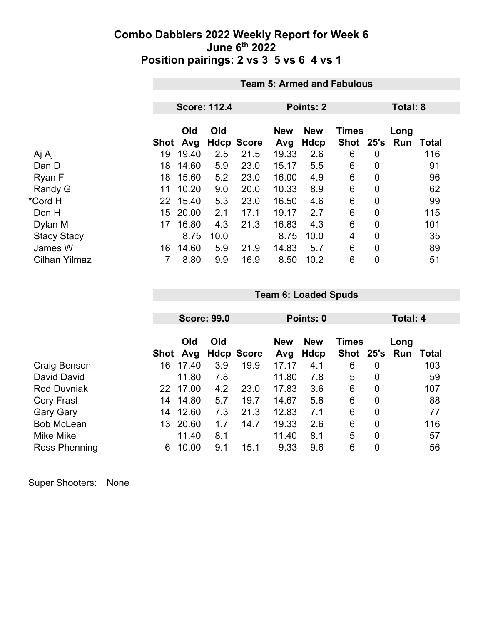|                      |      | <b>Team 5: Armed and Fabulous</b> |                     |                   |                   |                           |                           |                |             |          |  |
|----------------------|------|-----------------------------------|---------------------|-------------------|-------------------|---------------------------|---------------------------|----------------|-------------|----------|--|
|                      |      |                                   | <b>Score: 112.4</b> |                   |                   | Points: 2                 |                           |                |             | Total: 8 |  |
|                      | Shot | Old<br>Avg                        | Old                 | <b>Hdcp Score</b> | <b>New</b><br>Avg | <b>New</b><br><b>Hdcp</b> | <b>Times</b><br>Shot 25's |                | Long<br>Run | Total    |  |
| Aj Aj                | 19   | 19.40                             | 2.5                 | 21.5              | 19.33             | 2.6                       | 6                         | 0              |             | 116      |  |
| Dan D                | 18   | 14.60                             | 5.9                 | 23.0              | 15.17             | 5.5                       | 6                         | $\overline{0}$ |             | 91       |  |
| Ryan F               | 18   | 15.60                             | 5.2                 | 23.0              | 16.00             | 4.9                       | 6                         | 0              |             | 96       |  |
| Randy G              | 11   | 10.20                             | 9.0                 | 20.0              | 10.33             | 8.9                       | 6                         | $\mathbf 0$    |             | 62       |  |
| *Cord H              | 22   | 15.40                             | 5.3                 | 23.0              | 16.50             | 4.6                       | 6                         | 0              |             | 99       |  |
| Don H                | 15   | 20.00                             | 2.1                 | 17.1              | 19.17             | 2.7                       | 6                         | 0              |             | 115      |  |
| Dylan M              | 17   | 16.80                             | 4.3                 | 21.3              | 16.83             | 4.3                       | 6                         | $\overline{0}$ |             | 101      |  |
| <b>Stacy Stacy</b>   |      | 8.75                              | 10.0                |                   | 8.75              | 10.0                      | 4                         | $\mathbf 0$    |             | 35       |  |
| James W              | 16   | 14.60                             | 5.9                 | 21.9              | 14.83             | 5.7                       | 6                         | $\mathbf 0$    |             | 89       |  |
| <b>Cilhan Yilmaz</b> | 7    | 8.80                              | 9.9                 | 16.9              | 8.50              | 10.2                      | 6                         | $\mathbf 0$    |             | 51       |  |

|                    |      | <b>Score: 99.0</b> |     |                   | Points: 0    |                    |                               |                | Total: 4 |       |
|--------------------|------|--------------------|-----|-------------------|--------------|--------------------|-------------------------------|----------------|----------|-------|
|                    | Shot | Old                | Old | <b>Hdcp Score</b> | <b>New</b>   | <b>New</b><br>Hdcp | <b>Times</b><br>Shot 25's Run |                | Long     | Total |
| Craig Benson       | 16   | Avg<br>17.40       | 3.9 | 19.9              | Avg<br>17.17 | 4.1                | 6                             | $\overline{0}$ |          | 103   |
| David David        |      | 11.80              | 7.8 |                   | 11.80        | 7.8                | 5                             | $\overline{0}$ |          | 59    |
| <b>Rod Duvniak</b> | 22   | 17.00              | 4.2 | 23.0              | 17.83        | 3.6                | 6                             | $\overline{0}$ |          | 107   |
| Cory Frasl         | 14   | 14.80              | 5.7 | 19.7              | 14.67        | 5.8                | 6                             | $\overline{0}$ |          | 88    |
| <b>Gary Gary</b>   | 14   | 12.60              | 7.3 | 21.3              | 12.83        | 7.1                | 6                             | $\overline{0}$ |          | 77    |
| <b>Bob McLean</b>  | 13.  | 20.60              | 1.7 | 14.7              | 19.33        | 2.6                | 6                             | $\overline{0}$ |          | 116   |
| Mike Mike          |      | 11.40              | 8.1 |                   | 11.40        | 8.1                | 5                             | $\overline{0}$ |          | 57    |
| Ross Phenning      | 6    | 10.00              | 9.1 | 15.1              | 9.33         | 9.6                | 6                             | 0              |          | 56    |

**Team 6: Loaded Spuds**

| Super Shooters: | None |
|-----------------|------|
|-----------------|------|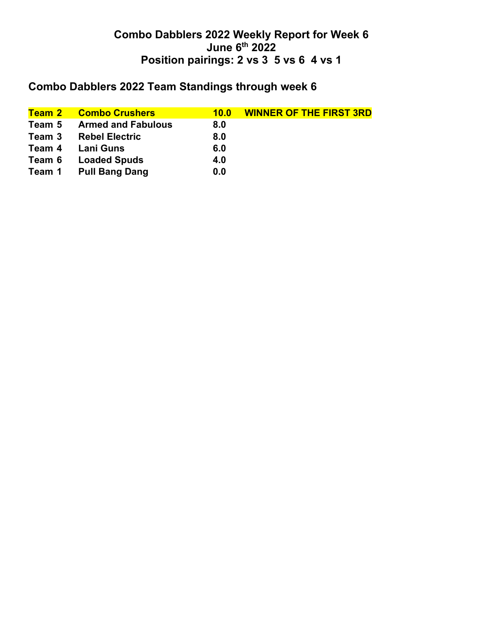# **Combo Dabblers 2022 Team Standings through week 6**

| <b>Combo Crushers</b>     | 10.0 | <b>WINNER OF THE FIRST 3RD</b> |
|---------------------------|------|--------------------------------|
| <b>Armed and Fabulous</b> | 8.0  |                                |
| <b>Rebel Electric</b>     | 8.0  |                                |
| Lani Guns                 | 6.0  |                                |
| <b>Loaded Spuds</b>       | 4.0  |                                |
| <b>Pull Bang Dang</b>     | 0.0  |                                |
|                           |      |                                |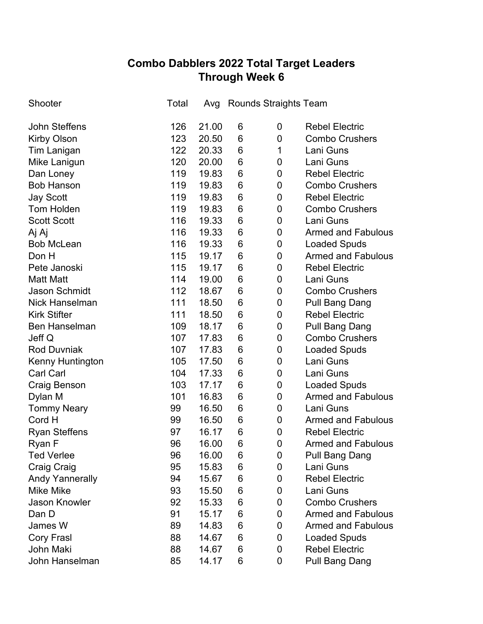## **Combo Dabblers 2022 Total Target Leaders Through Week 6**

| Shooter                | Total | Avg   |   | <b>Rounds Straights Team</b> |                           |
|------------------------|-------|-------|---|------------------------------|---------------------------|
| <b>John Steffens</b>   | 126   | 21.00 | 6 | 0                            | <b>Rebel Electric</b>     |
| <b>Kirby Olson</b>     | 123   | 20.50 | 6 | $\mathbf 0$                  | <b>Combo Crushers</b>     |
| <b>Tim Lanigan</b>     | 122   | 20.33 | 6 | 1                            | Lani Guns                 |
| Mike Lanigun           | 120   | 20.00 | 6 | 0                            | Lani Guns                 |
| Dan Loney              | 119   | 19.83 | 6 | 0                            | <b>Rebel Electric</b>     |
| <b>Bob Hanson</b>      | 119   | 19.83 | 6 | 0                            | <b>Combo Crushers</b>     |
| <b>Jay Scott</b>       | 119   | 19.83 | 6 | 0                            | <b>Rebel Electric</b>     |
| <b>Tom Holden</b>      | 119   | 19.83 | 6 | $\mathbf 0$                  | <b>Combo Crushers</b>     |
| <b>Scott Scott</b>     | 116   | 19.33 | 6 | 0                            | Lani Guns                 |
| Aj Aj                  | 116   | 19.33 | 6 | 0                            | <b>Armed and Fabulous</b> |
| <b>Bob McLean</b>      | 116   | 19.33 | 6 | 0                            | <b>Loaded Spuds</b>       |
| Don H                  | 115   | 19.17 | 6 | $\mathbf 0$                  | <b>Armed and Fabulous</b> |
| Pete Janoski           | 115   | 19.17 | 6 | 0                            | <b>Rebel Electric</b>     |
| <b>Matt Matt</b>       | 114   | 19.00 | 6 | 0                            | Lani Guns                 |
| <b>Jason Schmidt</b>   | 112   | 18.67 | 6 | 0                            | <b>Combo Crushers</b>     |
| <b>Nick Hanselman</b>  | 111   | 18.50 | 6 | 0                            | Pull Bang Dang            |
| <b>Kirk Stifter</b>    | 111   | 18.50 | 6 | 0                            | <b>Rebel Electric</b>     |
| <b>Ben Hanselman</b>   | 109   | 18.17 | 6 | 0                            | <b>Pull Bang Dang</b>     |
| Jeff Q                 | 107   | 17.83 | 6 | 0                            | <b>Combo Crushers</b>     |
| <b>Rod Duvniak</b>     | 107   | 17.83 | 6 | 0                            | <b>Loaded Spuds</b>       |
| Kenny Huntington       | 105   | 17.50 | 6 | 0                            | Lani Guns                 |
| <b>Carl Carl</b>       | 104   | 17.33 | 6 | 0                            | Lani Guns                 |
| Craig Benson           | 103   | 17.17 | 6 | 0                            | <b>Loaded Spuds</b>       |
| Dylan M                | 101   | 16.83 | 6 | 0                            | <b>Armed and Fabulous</b> |
| <b>Tommy Neary</b>     | 99    | 16.50 | 6 | 0                            | Lani Guns                 |
| Cord H                 | 99    | 16.50 | 6 | 0                            | <b>Armed and Fabulous</b> |
| <b>Ryan Steffens</b>   | 97    | 16.17 | 6 | 0                            | <b>Rebel Electric</b>     |
| Ryan F                 | 96    | 16.00 | 6 | 0                            | Armed and Fabulous        |
| <b>Ted Verlee</b>      | 96    | 16.00 | 6 | 0                            | Pull Bang Dang            |
| <b>Craig Craig</b>     | 95    | 15.83 | 6 | 0                            | Lani Guns                 |
| <b>Andy Yannerally</b> | 94    | 15.67 | 6 | 0                            | <b>Rebel Electric</b>     |
| <b>Mike Mike</b>       | 93    | 15.50 | 6 | 0                            | Lani Guns                 |
| <b>Jason Knowler</b>   | 92    | 15.33 | 6 | 0                            | <b>Combo Crushers</b>     |
| Dan D                  | 91    | 15.17 | 6 | 0                            | <b>Armed and Fabulous</b> |
| James W                | 89    | 14.83 | 6 | 0                            | <b>Armed and Fabulous</b> |
| <b>Cory Frasl</b>      | 88    | 14.67 | 6 | 0                            | <b>Loaded Spuds</b>       |
| John Maki              | 88    | 14.67 | 6 | 0                            | <b>Rebel Electric</b>     |
| John Hanselman         | 85    | 14.17 | 6 | 0                            | <b>Pull Bang Dang</b>     |